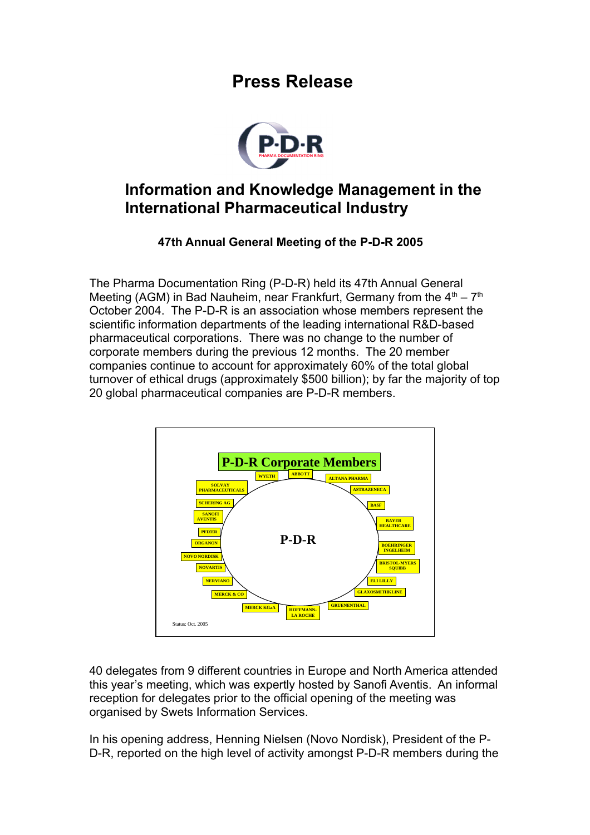## **Press Release**



## **Information and Knowledge Management in the International Pharmaceutical Industry**

## **47th Annual General Meeting of the P-D-R 2005**

The Pharma Documentation Ring (P-D-R) held its 47th Annual General Meeting (AGM) in Bad Nauheim, near Frankfurt, Germany from the  $4<sup>th</sup> - 7<sup>th</sup>$ October 2004. The P-D-R is an association whose members represent the scientific information departments of the leading international R&D-based pharmaceutical corporations. There was no change to the number of corporate members during the previous 12 months. The 20 member companies continue to account for approximately 60% of the total global turnover of ethical drugs (approximately \$500 billion); by far the majority of top 20 global pharmaceutical companies are P-D-R members.



40 delegates from 9 different countries in Europe and North America attended this year's meeting, which was expertly hosted by Sanofi Aventis. An informal reception for delegates prior to the official opening of the meeting was organised by Swets Information Services.

In his opening address, Henning Nielsen (Novo Nordisk), President of the P-D-R, reported on the high level of activity amongst P-D-R members during the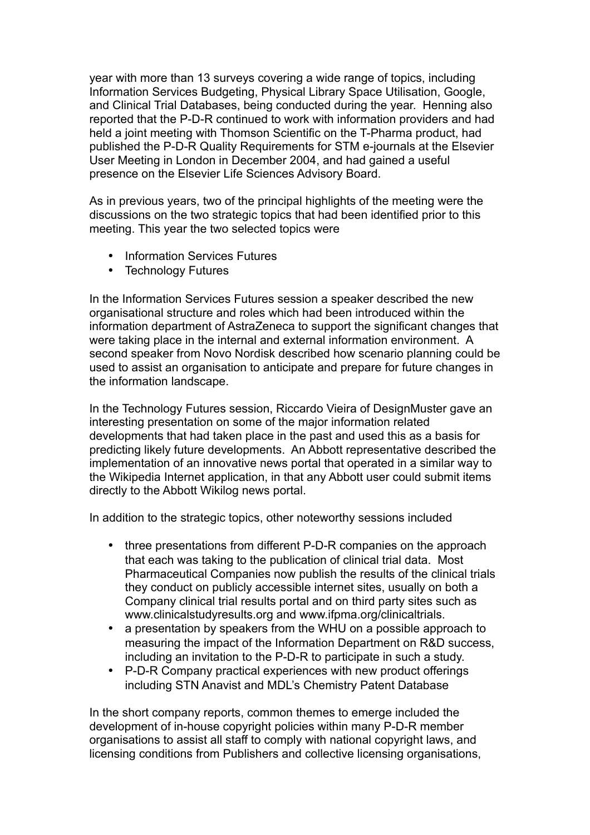year with more than 13 surveys covering a wide range of topics, including Information Services Budgeting, Physical Library Space Utilisation, Google, and Clinical Trial Databases, being conducted during the year. Henning also reported that the P-D-R continued to work with information providers and had held a joint meeting with Thomson Scientific on the T-Pharma product, had published the P-D-R Quality Requirements for STM e-journals at the Elsevier User Meeting in London in December 2004, and had gained a useful presence on the Elsevier Life Sciences Advisory Board.

As in previous years, two of the principal highlights of the meeting were the discussions on the two strategic topics that had been identified prior to this meeting. This year the two selected topics were

- Information Services Futures
- Technology Futures

In the Information Services Futures session a speaker described the new organisational structure and roles which had been introduced within the information department of AstraZeneca to support the significant changes that were taking place in the internal and external information environment. A second speaker from Novo Nordisk described how scenario planning could be used to assist an organisation to anticipate and prepare for future changes in the information landscape.

In the Technology Futures session, Riccardo Vieira of DesignMuster gave an interesting presentation on some of the major information related developments that had taken place in the past and used this as a basis for predicting likely future developments. An Abbott representative described the implementation of an innovative news portal that operated in a similar way to the Wikipedia Internet application, in that any Abbott user could submit items directly to the Abbott Wikilog news portal.

In addition to the strategic topics, other noteworthy sessions included

- three presentations from different P-D-R companies on the approach that each was taking to the publication of clinical trial data. Most Pharmaceutical Companies now publish the results of the clinical trials they conduct on publicly accessible internet sites, usually on both a Company clinical trial results portal and on third party sites such as www.clinicalstudyresults.org and www.ifpma.org/clinicaltrials.
- a presentation by speakers from the WHU on a possible approach to measuring the impact of the Information Department on R&D success, including an invitation to the P-D-R to participate in such a study.
- P-D-R Company practical experiences with new product offerings including STN Anavist and MDL's Chemistry Patent Database

In the short company reports, common themes to emerge included the development of in-house copyright policies within many P-D-R member organisations to assist all staff to comply with national copyright laws, and licensing conditions from Publishers and collective licensing organisations,